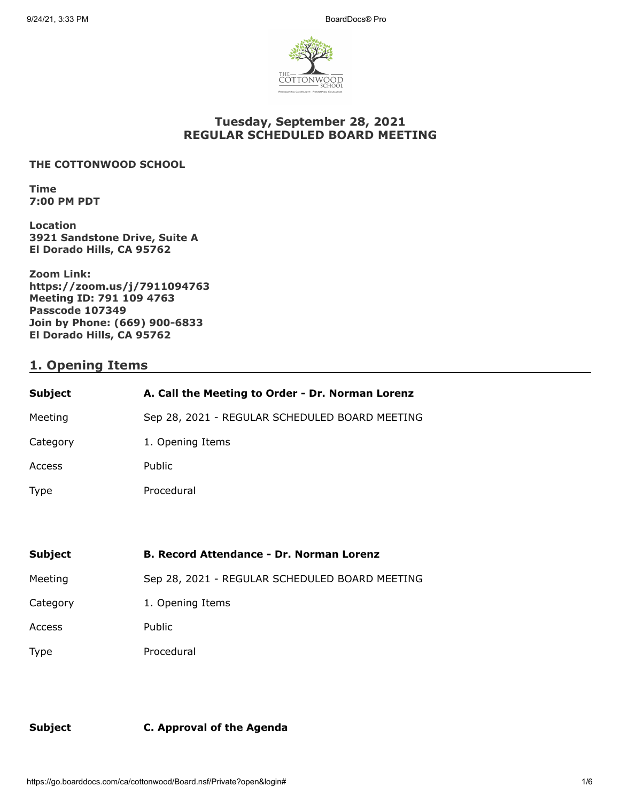

#### **Tuesday, September 28, 2021 REGULAR SCHEDULED BOARD MEETING**

#### **THE COTTONWOOD SCHOOL**

**Time 7:00 PM PDT** 

**Location 3921 Sandstone Drive, Suite A El Dorado Hills, CA 95762** 

**Zoom Link: https://zoom.us/j/7911094763 Meeting ID: 791 109 4763 Passcode 107349 Join by Phone: (669) 900-6833 El Dorado Hills, CA 95762**

## **1. Opening Items**

| <b>Subject</b> | A. Call the Meeting to Order - Dr. Norman Lorenz |
|----------------|--------------------------------------------------|
| Meeting        | Sep 28, 2021 - REGULAR SCHEDULED BOARD MEETING   |
| Category       | 1. Opening Items                                 |
| <b>Access</b>  | Public                                           |
| Type           | Procedural                                       |
|                |                                                  |

| Subject     | <b>B. Record Attendance - Dr. Norman Lorenz</b> |
|-------------|-------------------------------------------------|
| Meeting     | Sep 28, 2021 - REGULAR SCHEDULED BOARD MEETING  |
| Category    | 1. Opening Items                                |
| Access      | Public                                          |
| <b>Type</b> | Procedural                                      |

**Subject C. Approval of the Agenda**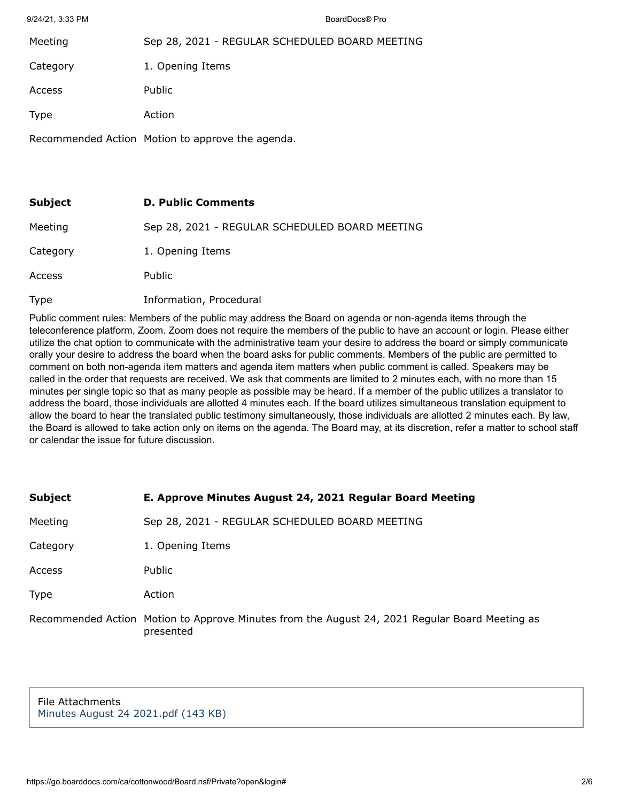9/24/21, 3:33 PM BoardDocs® Pro

| Meeting     | Sep 28, 2021 - REGULAR SCHEDULED BOARD MEETING   |
|-------------|--------------------------------------------------|
| Category    | 1. Opening Items                                 |
| Access      | Public                                           |
| <b>Type</b> | Action                                           |
|             | Recommended Action Motion to approve the agenda. |

| Subject  | <b>D. Public Comments</b>                      |
|----------|------------------------------------------------|
| Meeting  | Sep 28, 2021 - REGULAR SCHEDULED BOARD MEETING |
| Category | 1. Opening Items                               |
| Access   | <b>Public</b>                                  |
| Type     | Information, Procedural                        |

Public comment rules: Members of the public may address the Board on agenda or non-agenda items through the teleconference platform, Zoom. Zoom does not require the members of the public to have an account or login. Please either utilize the chat option to communicate with the administrative team your desire to address the board or simply communicate orally your desire to address the board when the board asks for public comments. Members of the public are permitted to comment on both non-agenda item matters and agenda item matters when public comment is called. Speakers may be called in the order that requests are received. We ask that comments are limited to 2 minutes each, with no more than 15 minutes per single topic so that as many people as possible may be heard. If a member of the public utilizes a translator to address the board, those individuals are allotted 4 minutes each. If the board utilizes simultaneous translation equipment to allow the board to hear the translated public testimony simultaneously, those individuals are allotted 2 minutes each. By law, the Board is allowed to take action only on items on the agenda. The Board may, at its discretion, refer a matter to school staff or calendar the issue for future discussion.

| Subject |  | E. Approve Minutes August 24, 2021 Regular Board Meeting |
|---------|--|----------------------------------------------------------|
|         |  |                                                          |

Meeting Sep 28, 2021 - REGULAR SCHEDULED BOARD MEETING

Category 1. Opening Items

Access Public

Type Action

Recommended Action Motion to Approve Minutes from the August 24, 2021 Regular Board Meeting as presented

File Attachments [Minutes August 24 2021.pdf \(143 KB\)](https://go.boarddocs.com/ca/cottonwood/Board.nsf/files/C76KU4528E0C/$file/Minutes%20August%2024%202021.pdf)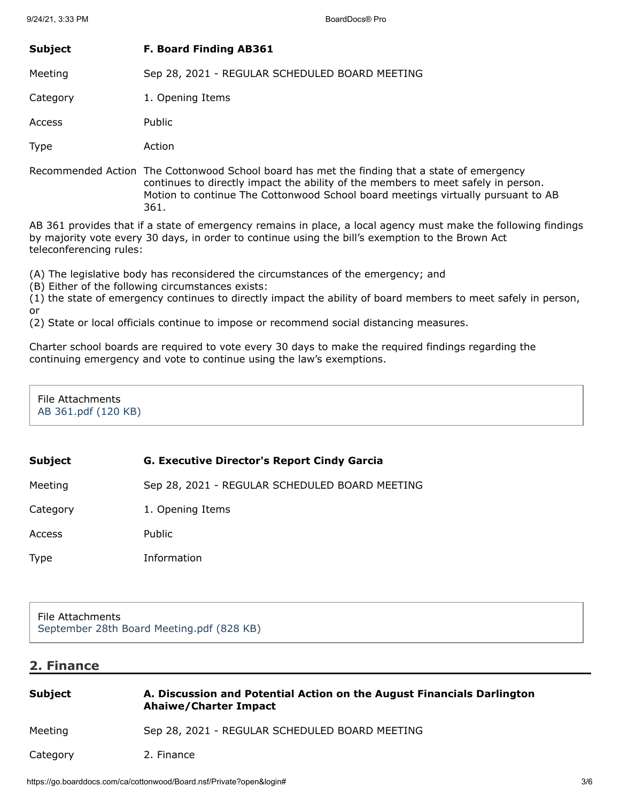# **Subject F. Board Finding AB361**

Meeting Sep 28, 2021 - REGULAR SCHEDULED BOARD MEETING

Category 1. Opening Items

Access Public

Type Action

Recommended Action The Cottonwood School board has met the finding that a state of emergency continues to directly impact the ability of the members to meet safely in person. Motion to continue The Cottonwood School board meetings virtually pursuant to AB 361.

AB 361 provides that if a state of emergency remains in place, a local agency must make the following findings by majority vote every 30 days, in order to continue using the bill's exemption to the Brown Act teleconferencing rules:

(A) The legislative body has reconsidered the circumstances of the emergency; and

(B) Either of the following circumstances exists:

(1) the state of emergency continues to directly impact the ability of board members to meet safely in person, or

(2) State or local officials continue to impose or recommend social distancing measures.

Charter school boards are required to vote every 30 days to make the required findings regarding the continuing emergency and vote to continue using the law's exemptions.

File Attachments [AB 361.pdf \(120 KB\)](https://go.boarddocs.com/ca/cottonwood/Board.nsf/files/C75MSV5C2650/$file/AB%20361.pdf)

## **Subject G. Executive Director's Report Cindy Garcia**

Meeting Sep 28, 2021 - REGULAR SCHEDULED BOARD MEETING

Category 1. Opening Items

Access Public

Type Information

File Attachments [September 28th Board Meeting.pdf \(828 KB\)](https://go.boarddocs.com/ca/cottonwood/Board.nsf/files/C75RZL706F3C/$file/September%2028th%20Board%20Meeting.pdf)

# **2. Finance**

| Subject  | A. Discussion and Potential Action on the August Financials Darlington<br><b>Ahaiwe/Charter Impact</b> |
|----------|--------------------------------------------------------------------------------------------------------|
| Meeting  | Sep 28, 2021 - REGULAR SCHEDULED BOARD MEETING                                                         |
| Category | 2. Finance                                                                                             |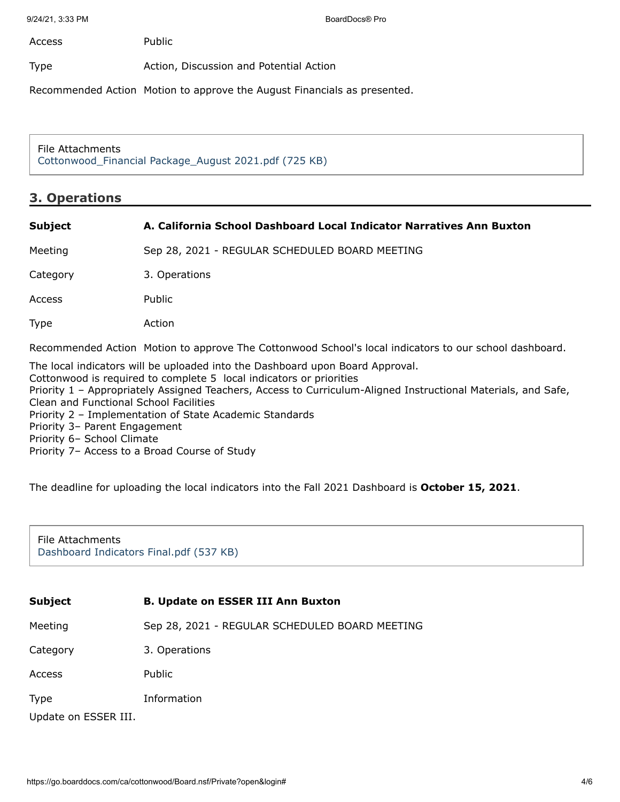9/24/21, 3:33 PM BoardDocs® Pro

Access Public

Type **Action**, Discussion and Potential Action

Recommended Action Motion to approve the August Financials as presented.

File Attachments [Cottonwood\\_Financial Package\\_August 2021.pdf \(725 KB\)](https://go.boarddocs.com/ca/cottonwood/Board.nsf/files/C76UGZ54E5CF/$file/Cottonwood_Financial%20Package_August%202021.pdf)

#### **3. Operations**

| <b>Subject</b> | A. California School Dashboard Local Indicator Narratives Ann Buxton                                   |
|----------------|--------------------------------------------------------------------------------------------------------|
| Meeting        | Sep 28, 2021 - REGULAR SCHEDULED BOARD MEETING                                                         |
| Category       | 3. Operations                                                                                          |
| Access         | Public                                                                                                 |
| <b>Type</b>    | Action                                                                                                 |
|                | Recommended Action Motion to approve The Cottonwood School's local indicators to our school dashboard. |
|                | The local indicators will be uploaded into the Dashboard upon Board Approval.                          |

Cottonwood is required to complete 5 local indicators or priorities Priority 1 – Appropriately Assigned Teachers, Access to Curriculum-Aligned Instructional Materials, and Safe, Clean and Functional School Facilities Priority 2 – Implementation of State Academic Standards Priority 3– Parent Engagement Priority 6– School Climate Priority 7– Access to a Broad Course of Study

The deadline for uploading the local indicators into the Fall 2021 Dashboard is **October 15, 2021**.

File Attachments [Dashboard Indicators Final.pdf \(537 KB\)](https://go.boarddocs.com/ca/cottonwood/Board.nsf/files/C74NUP5D4461/$file/Dashboard%20Indicators%20Final.pdf)

| <b>Subject</b>       | <b>B. Update on ESSER III Ann Buxton</b>       |
|----------------------|------------------------------------------------|
| Meeting              | Sep 28, 2021 - REGULAR SCHEDULED BOARD MEETING |
| Category             | 3. Operations                                  |
| Access               | Public                                         |
| <b>Type</b>          | Information                                    |
| Update on ESSER III. |                                                |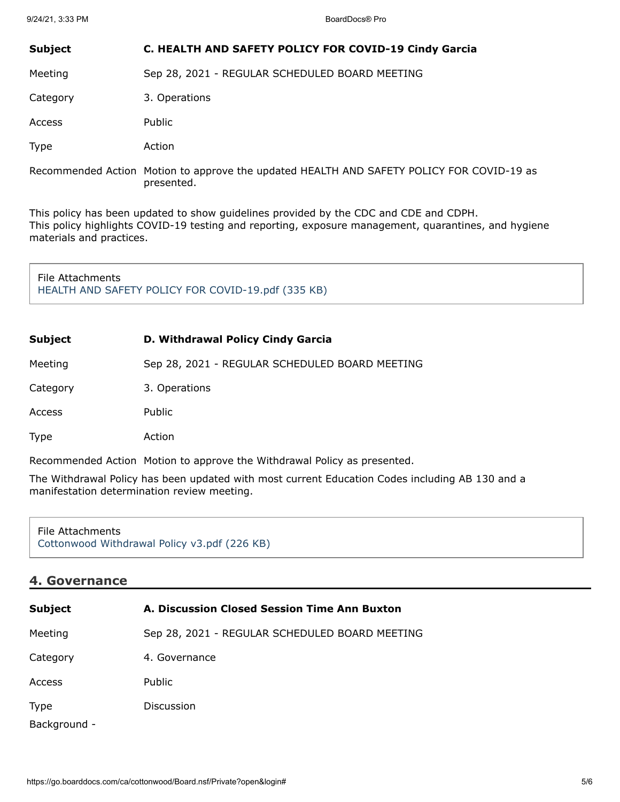#### **Subject C. HEALTH AND SAFETY POLICY FOR COVID-19 Cindy Garcia**

Meeting Sep 28, 2021 - REGULAR SCHEDULED BOARD MEETING

Category 3. Operations

Access Public

Type Action

Recommended Action Motion to approve the updated HEALTH AND SAFETY POLICY FOR COVID-19 as presented.

This policy has been updated to show guidelines provided by the CDC and CDE and CDPH. This policy highlights COVID-19 testing and reporting, exposure management, quarantines, and hygiene materials and practices.

File Attachments [HEALTH AND SAFETY POLICY FOR COVID-19.pdf \(335 KB\)](https://go.boarddocs.com/ca/cottonwood/Board.nsf/files/C74PEX60F225/$file/HEALTH%20AND%20SAFETY%20POLICY%20FOR%20COVID-19.pdf)

| Subject  | D. Withdrawal Policy Cindy Garcia              |
|----------|------------------------------------------------|
| Meeting  | Sep 28, 2021 - REGULAR SCHEDULED BOARD MEETING |
| Category | 3. Operations                                  |
| Access   | Public                                         |
| Type     | Action                                         |
|          |                                                |

Recommended Action Motion to approve the Withdrawal Policy as presented.

The Withdrawal Policy has been updated with most current Education Codes including AB 130 and a manifestation determination review meeting.

File Attachments [Cottonwood Withdrawal Policy v3.pdf \(226 KB\)](https://go.boarddocs.com/ca/cottonwood/Board.nsf/files/C75MTG5C7E45/$file/Cottonwood%20Withdrawal%20Policy%20%20v3.pdf)

## **4. Governance**

| <b>Subject</b>              | A. Discussion Closed Session Time Ann Buxton   |
|-----------------------------|------------------------------------------------|
| Meeting                     | Sep 28, 2021 - REGULAR SCHEDULED BOARD MEETING |
| Category                    | 4. Governance                                  |
| Access                      | <b>Public</b>                                  |
| <b>Type</b><br>Background - | Discussion                                     |